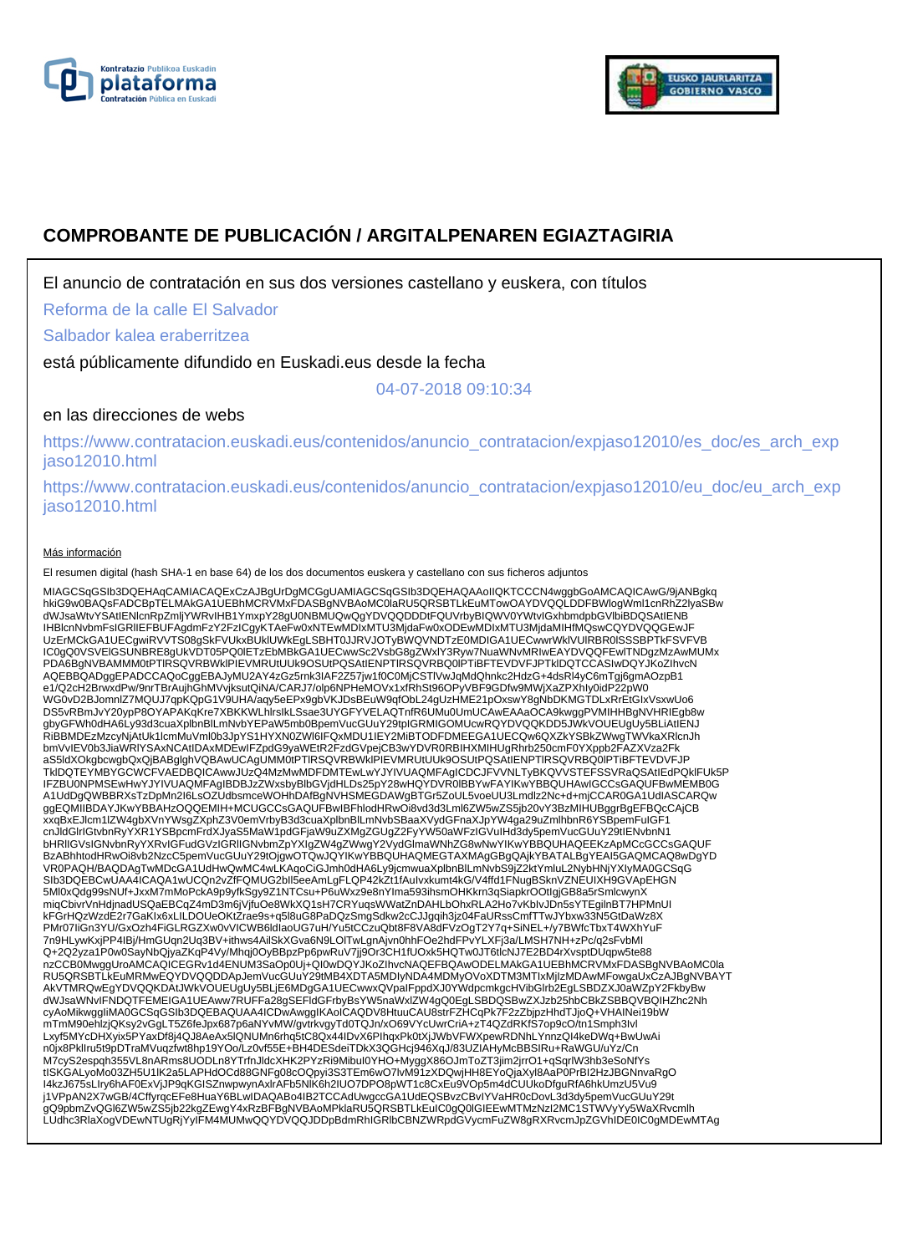



# **COMPROBANTE DE PUBLICACIÓN / ARGITALPENAREN EGIAZTAGIRIA**

El anuncio de contratación en sus dos versiones castellano y euskera, con títulos

Reforma de la calle El Salvador

Salbador kalea eraberritzea

está públicamente difundido en Euskadi.eus desde la fecha

04-07-2018 09:10:34

## en las direcciones de webs

https://www.contratacion.euskadi.eus/contenidos/anuncio\_contratacion/expjaso12010/es\_doc/es\_arch\_exp jaso12010.html

https://www.contratacion.euskadi.eus/contenidos/anuncio\_contratacion/expjaso12010/eu\_doc/eu\_arch\_exp jaso12010.html

#### Más información

El resumen digital (hash SHA-1 en base 64) de los dos documentos euskera y castellano con sus ficheros adjuntos

MIAGCSqGSIb3DQEHAqCAMIACAQExCzAJBgUrDgMCGgUAMIAGCSqGSIb3DQEHAQAAoIIQKTCCCN4wggbGoAMCAQICAwG/9jANBgkq<br>hkiG9w0BAQsFADCBpTELMAkGA1UEBhMcRVMxFDASBgNVBAoMC0laRU5QR5BTLkEuMTowOAYDVQQLDDFBWIogIWmI1cnRhZ2lyaSBw<br>dWJsaWtvYSAtIENIcnR UzErMCkGA1UECgwiRVVTS08gSkFVUkxBUklUWkEgLSBHT0JJRVJOTyBWQVNDTzE0MDIGA1UECwwrWklVUlRBR0lSSSBPTkFSVFVB IC0gQ0VSVElGSUNBRE8gUkVDT05PQ0lETzEbMBkGA1UECwwSc2VsbG8gZWxlY3Ryw7NuaWNvMRIwEAYDVQQFEwlTNDgzMzAwMUMx PDA6BgNVBAMMM0tPTlRSQVRBWklPIEVMRUtUUk9OSUtPQSAtIENPTlRSQVRBQ0lPTiBFTEVDVFJPTklDQTCCASIwDQYJKoZIhvcN AQEBBQADggEPADCCAQoCggEBAJyMU2AY4zGz5rnk3IAF2Z57jw1f0C0MjCSTlVwJqMdQhnkc2HdzG+4dsRl4yC6mTgj6gmAOzpB1 e1/Q2cH2BrwxdPw/9nrTBrAujhGhMVvjksutQiNA/CARJ7/olp6NPHeMOVx1xfRhSt96OPyVBF9GDfw9MWjXaZPXhIy0idP22pW0<br>WG0vD2BJomnlZ7MQUJ7qpKQpG1V9UHA/aqy5eEPx9gbVKJDsBEuW9qfObL24gUzHME21pOxswY8gNbDKMGTDLxRrEtGIxVsxwUo6 DS5vRBmJvY20ypP8OYAPAKqKre7XBKKWLhIrsIkLSsae3UYGFYVELAQTnfR6UMu0UmUCAwEAAaOCA9kwggPVMIHHBgNVHRIEgb8w<br>gbyGFWh0dHA6Ly93d3cuaXplbnBlLmNvbYEPaW5mb0BpemVucGUuY29tpIGRMIGOMUcwRQYDVQQKDD5JWkVOUEUgUy5BLiAtIENJ<br>RiBBMDEzMzcyNjAtUk1I bmVvIEV0b3JiaWRlYSAxNCAtIDAxMDEwIFZpdG9yaWEtR2FzdGVpejCB3wYDVR0RBIHXMIHUgRhrb250cmF0YXppb2FAZXVza2Fk aS5ldXOkgbcwgbQxQjBABglghVQBAwUCAgUMM0tPTlRSQVRBWklPIEVMRUtUUk9OSUtPQSAtIENPTlRSQVRBQ0lPTiBFTEVDVFJP TklDQTEYMBYGCWCFVAEDBQICAwwJUzQ4MzMwMDFDMTEwLwYJYIVUAQMFAgICDCJFVVNLTyBKQVVSTEFSSVRaQSAtIEdPQklFUk5P IFZBU0NPMSEwHwYJYIVUAQMFAgIBDBJzZWxsbyBlbGVjdHLDs25pY28wHQYDVR0lBBYwFAYIKwYBBQUHAwIGCCsGAQUFBwMEMB0G<br>A1UdDgQWBBRXsTzDpMn2l6LsOZUdbsmceWOHhDAfBgNVHSMEGDAWgBTGr5ZoUL5voeUU3Lmdlz2Nc+d+mjCCAR0GA1UdIASCARQw<br>ggEQMIIBDAYJKwYBBAHz xxqBxEJlcm1lZW4gbXVnYWsgZXphZ3V0emVrbyB3d3cuaXplbnBlLmNvbSBaaXVydGFnaXJpYW4ga29uZmlhbnR6YSBpemFuIGF1 cnJldGlrIGtvbnRyYXR1YSBpcmFrdXJyaS5MaW1pdGFjaW9uZXMgZGUgZ2FyYW50aWFzIGVuIHd3dy5pemVucGUuY29tIENvbnN1 bHRlIGVsIGNvbnRyYXRvIGFudGVzIGRlIGNvbmZpYXIgZW4gZWwgY2VydGlmaWNhZG8wNwYIKwYBBQUHAQEEKzApMCcGCCsGAQUF BzABhhtodHRwOi8vb2NzcC5pemVucGUuY29tOjgwOTQwJQYIKwYBBQUHAQMEGTAXMAgGBgQAjkYBATALBgYEAI5GAQMCAQ8wDgYD VR0PAQH/BAQDAgTwMDcGA1UdHwQwMC4wLKAqoCiGJmh0dHA6Ly9jcmwuaXplbnBlLmNvbS9jZ2ktYmluL2NybHNjYXIyMA0GCSqG SIb3DQEBCwUAA4ICAQA1wUCQn2vZfFQMUG2bll5eeAmLgFLQP42kZt1fAuIvxkumt4kG/V4ffd1FNugBSknVZNEUIXH9GVApEHGN<br>5Ml0xQdg99sNUf+JxxM7mMoPckA9p9yfkSgy9Z1NTCsu+P6uWxz9e8nYIma593ihsmOHKkrn3qSiapkrOOtIgjGB8a5rSmlcwynX miqCbivrVnHdjnadUSQaEBCqZ4mD3m6jVjfuOe8WkXQ1sH7CRYuqsWWatZnDAHLbOhxRLA2Ho7vKbIvJDn5sYTEgilnBT7HPMnUI kFGrHQzWzdE2r7GaKIx6xLILDOUeOKtZrae9s+q5l8uG8PaDQzSmgSdkw2cCJJgqih3jz04FaURssCmfTTwJYbxw33N5GtDaWz8X PMr07IiGn3YU/GxOzh4FiGLRGZXw0vVICWB6ldIaoUG7uH/Yu5tCCzuQbt8F8VA8dFVzOgT2Y7q+SiNEL+/y7BWfcTbxT4WXhYuF 7n9HLywKxjPP4IBj/HmGUqn2Uq3BV+ithws4AilSkXGva6N9LOlTwLgnAjvn0hhFOe2hdFPvYLXFj3a/LMSH7NH+zPc/q2sFvbMI Q+2Q2yza1P0w0SayNbQjyaZKqP4Vy/Mhqj0OyBBpzPp6pwRuV7jj9Or3CH1fUOxk5HQTw0JT6tlcNJ7E2BD4rXvsptDUqpw5te88 nzCCB0MwggUroAMCAQICEGRv1d4ENUM3SaOp0Uj+QI0wDQYJKoZIhvcNAQEFBQAwODELMAkGA1UEBhMCRVMxFDASBgNVBAoMC0la RU5QRSBTLkEuMRMwEQYDVQQDDApJemVucGUuY29tMB4XDTA5MDIyNDA4MDMyOVoXDTM3MTIxMjIzMDAwMFowgaUxCzAJBgNVBAYT AkVTMRQwEgYDVQQKDAtJWkVOUEUgUy5BLjE6MDgGA1UECwwxQVpaIFppdXJ0YWdpcmkgcHVibGIrb2EgLSBDZXJ0aWZpY2FkbyBw<br>dWJsaWNvIFNDQTFEMEIGA1UEAww7RUFFa28gSEFIdGFrbyBsYW5naWxIZW4gQ0EgLSBDQSBwZXJzb25hbCBkZSBBQVBQIHZhc2Nh<br>cyAoMikwggliMA0GCSqG mTmM90ehlzjQKsy2vGgLT5Z6feJpx687p6aNYvMW/gvtrkvgyTd0TQJn/xO69VYcUwrCriA+zT4QZdRKfS7op9cO/tn1Smph3Ivl Lxyf5MYcDHXyix5PYaxDf8j4QJ8AeAx5lQNUMn6rhq5tC8Qx44IDvX6PIhqxPk0tXjJWbVFWXpewRDNhLYnnzQI4keDWq+BwUwAi n0jx8PklIru5t9pDTraMVuqzfwt8hp19YOo/Lz0vf55E+BH4DESdeiTDkX3QGHcj946XqJ/83UZIAHyMcBBSIRu+RaWGU/uYz/Cn M7cyS2espqh355VL8nARms8UODLn8YTrfnJldcXHK2PYzRi9MibuI0YHO+MyggX86OJmToZT3jim2jrrO1+qSqrlW3hb3eSoNfYs<br>tISKGALyoMo03ZH5U1IK2a5LAPHdOCd88GNFg08cOQpyi3S3TEm6wO7lvM91zXDQwjHH8EYoQjaXyI8AaP0PrBI2HzJBGNnvaRgO<br>I4kzJ675sLIry6hAF0Ex j1VPpAN2X7wGB/4CffyrqcEFe8HuaY6BLwIDAQABo4IB2TCCAdUwgccGA1UdEQSBvzCBvIYVaHR0cDovL3d3dy5pemVucGUuY29t<br>gQ9pbmZvQGl6ZW5wZS5jb22kgZEwgY4xRzBFBgNVBAoMPklaRU5QRSBTLkEuIC0gQ0IGIEEwMTMzNzI2MC1STWVyYy5WaXRvcmlh LUdhc3RlaXogVDEwNTUgRjYyIFM4MUMwQQYDVQQJDDpBdmRhIGRlbCBNZWRpdGVycmFuZW8gRXRvcmJpZGVhIDE0IC0gMDEwMTAg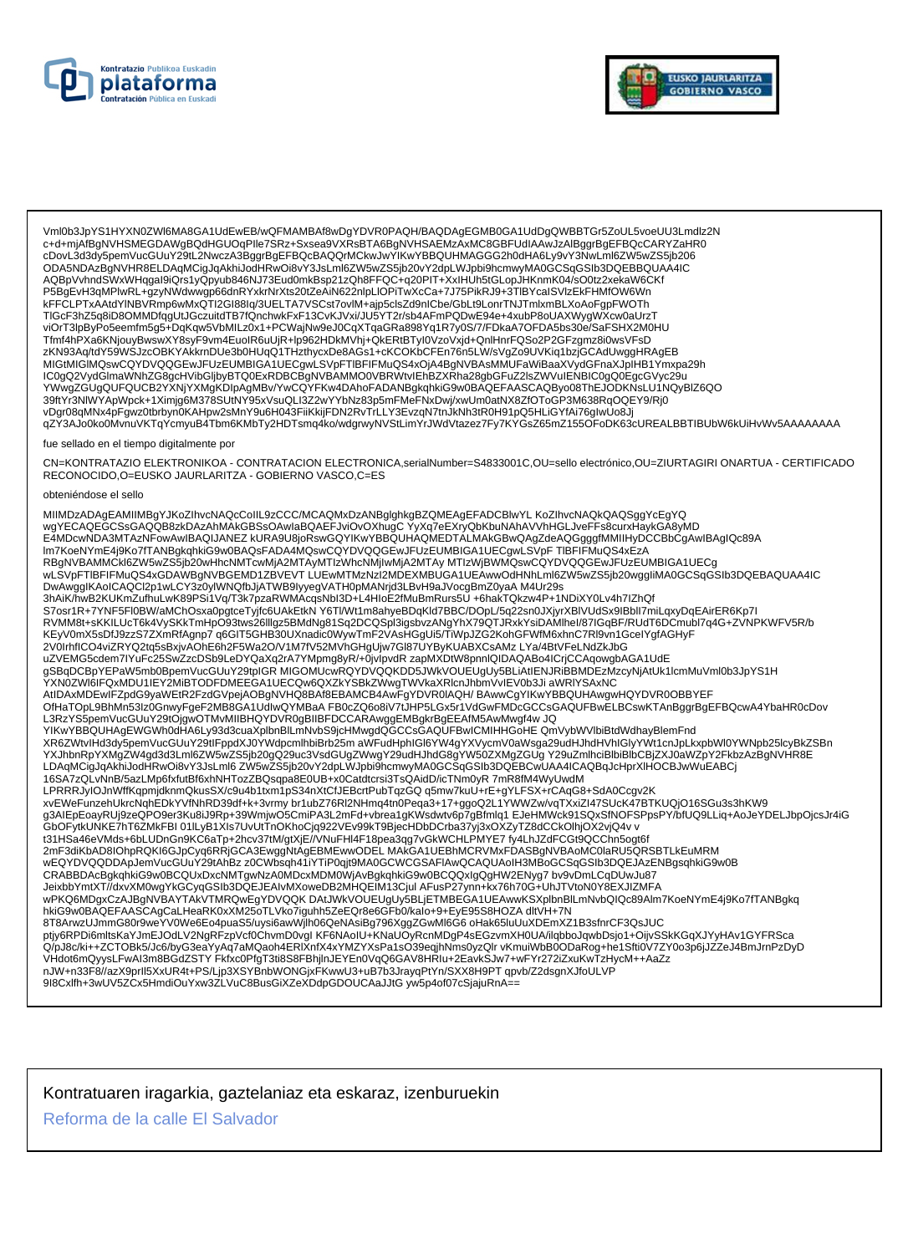



Vml0b3JpYS1HYXN0ZWl6MA8GA1UdEwEB/wQFMAMBAf8wDgYDVR0PAQH/BAQDAgEGMB0GA1UdDgQWBBTGr5ZoUL5voeUU3Lmdlz2N<br>c+d+mjAfBgNVHSMEGDAWgBQdHGUOqPIle7SRz+Sxsea9VXRsBTA6BgNVHSAEMzAxMC8GBFUdIAAwJzAlBggrBgEFBQcCARYZaHR0 cDovL3d3dy5pemVucGUuY29tL2NwczA3BggrBgEFBQcBAQQrMCkwJwYIKwYBBQUHMAGGG2h0dHA6Ly9vY3NwLml6ZW5wZS5jb206 ODA5NDAzBgNVHR8ELDAqMCigJqAkhiJodHRwOi8vY3JsLml6ZW5wZS5jb20vY2dpLWJpbi9hcmwyMA0GCSqGSIb3DQEBBQUAA4IC AQBpVvhndSWxWHqgal9iQrs1yQpyub846NJ73Eud0mkBsp21zQh8FFQC+q20PIT+XxIHUh5tGLopJHKnmK04/sO0tz2xekaW6CKf P5BgEvH3qMPlwRL+gzyNWdwwgp66dnRYxkrNrXts20tZeAiN622nlpLlOPiTwXcCa+7J75PikRJ9+3TlBYcaISVlzEkFHMfOW6Wn kFFCLPTxAAtdYlNBVRmp6wMxQTI2GI88Iq/3UELTA7VSCst7ovlM+ajp5clsZd9nICbe/GbLt9LonrTNJTmlxmBLXoAoFgpFWOTh TIGcF3hZ5q8iD8OMMDfqgUtJGczuitdTB7fQnchwkFxF13CvKJVxi/JU5YT2r/sb4AFmPQDwE94e+4xubP8oUAXWygWXcw0aUrzT zKN93Aq/tdY59WSJzcOBKYAKkrnDUe3b0HUqQ1THzthycxDe8AGs1+cKCOKbCFEn76n5LW/sVgZo9UVKiq1bzjGCAdUwggHRAgEB MIGtMIGIMQswCQYDVQQGEwJFUzEUMBIGA1UECgwLSVpFTIBFIFMuQS4xOjA4BgNVBAsMMUFaWiBaaXVydGFnaXJpIHB1Ymxpa29h IC0gQ2VydGlmaWNhZG8gcHVibGljbyBTQ0ExRDBCBgNVBAMMO0VBRWtvlEhBZXRha28gbGFuZ2lsZWVuIENBIC0gQ0EgcGVyc29u YWwgZGUgQUFQUCB2YXNjYXMgKDIpAgMBv/YwCQYFKw4DAhoFADANBgkqhkiG9w0BAQEFAASCAQByo08ThEJODKNsLU1NQyBlZ6QO 39ftYr3NIWYApWpck+1Ximjg6M378SUtNY95xVsuQLI3Z2wYYbNz83p5mFMeFNxDwj/xwUm0atNX8ZfOToGP3M638RqOQEY9/Rj0 vDgr08qMNx4pFgwz0tbrbyn0KAHpw2sMnY9u6H043FiiKkijFDN2RvTrLLY3EvzqN7tnJkNh3tR0H91pQ5HLiGYfAi76glwUo8Jj qZY3AJo0ko0MvnuVKTqYcmyuB4Tbm6KMbTy2HDTsmq4ko/wdgrwyNVStLimYrJWdVtazez7Fy7KYGsZ65mZ155OFoDK63cUREALBBTIBUbW6kUiHvWv5AAAAAAA fue sellado en el tiempo digitalmente por CN=KONTRATAZIO ELEKTRONIKOA - CONTRATACION ELECTRONICA,serialNumber=S4833001C,OU=sello electrónico,OU=ZIURTAGIRI ONARTUA - CERTIFICADO RECONOCIDO, O=EUSKO JAURLARITZA - GOBIERNO VASCO, C=ES obteniéndose el sello MIIMDzADAgEAMIIMBgYJKoZIhvcNAQcCoIIL9zCCC/MCAQMxDzANBglghkgBZQMEAgEFADCBIwYL KoZIhvcNAQkQAQSggYcEgYQ will be considered to the construction of the consideration of the consideration of the consideration of the consideration of the consideration of the consideration of the consideration of the consideration of the consider Im7KoeNYmE4j9Ko7fTANBgkqhkiG9w0BAQsFADA4MQswCQYDVQQGEwJFUzEUMBIGA1UECgwLSVpFTIBFIFMuQS4xEzA RBgNVBAMMCkl6ZW5wZS5jb20wHhcNMTcwMjA2MTAyMTIzWhcNMjIwMjA2MTAy MTIzWjBWMQswCQYDVQQGEwJFUzEUMBIGA1UECg wLSVpFTIBFIFMuQS4xGDAWBgNVBGEMD1ZBVEVTLUEwMTMzNzI2MDEXMBUGA1UEAwwOdHNhLml6ZW5wZS5jb20wggliMA0GCSqGSlb3DQEBAQUAA4IC S7osr1R+7YNF5Fl0BW/aMChOsxa0pgtceTyjfc6UAkEtkN Y6Tl/Wt1m8ahyeBDqKld7BBC/DOpL/5q22sn0JXjyrXBlVUdSx9lBbll7miLqxyDqEAirER6Kp7I RVMM8t+sKKILUcT6k4VySKkTmHpO93tws26lllgz5BMdNg81Sq2DCQSpl3igsbvzANgYhX79QTJRxkYsiDAMlhel/87IGqBF/RUdT6DCmubl7q4G+ZVNPKWFV5R/b KEyV0mX5sDfJ9zzS7ZXmRfAgnp7 q6GIT5GHB30UXnadic0WywTmF2VAsHGgUi5/TiWpJZG2KohGFWfM6xhnC7Rl9vn1GcelYgfAGHyF 2V0IrhfICO4viZRYQ2tq5sBxjvAOhE6h2F5Wa2O/V1M7fV52MVhGHgUjw7Gl87UYByKUABXCsAMzLYa/4BtVFeLNdZkJbG uZVEMG5cdem7lYuFc25SwZzcDSb9LeDYQaXq2rA7YMpmg8yR/+0jvlpvdR zapMXDtW8pnnlQIDAQABo4lCrjCCAqowgbAGA1UdE a - Announce of the Marian Company of the COMUC MANUS CONTROL CONTROLLING TO CONTROL THE CONTROL OF THE COMUNI<br>The COMUNIST CONTROLLING OF THE COMUC MANUS CONTROLLING ON THE CONTROLLING OF THE CONTROLLING CONTROLLING OF T<br> L3RzYS5pemVucGUuY29tOjgwOTMvMIIBHQYDVR0gBIIBFDCCARAwggEMBgkrBgEEAfM5AwMwgf4w JQ YIKwYBBQUHAgEWGWh0dHA6Ly93d3cuaXplbnBlLmNvbS9jcHMwgdQGCCsGAQUFBwICMIHHGoHE QmVybWVlbiBtdWdhayBlemFnd XR6ZWtvlHd3dy5pemVucGUuY29tlFppdXJ0YWdpcmlhbiBrb25maWFudHphIGI6YW4gYXVycmV0aWsga29udHJhdHVhIGIyYWt1cnJpLkxpbWl0YWNpb25lcyBkZSBn YXJhbnRpYXMgZW4gd3d3Lml6ZW5wZS5jb20gQ29uc3VsdGUgZWwgY29udHJhdG8gYW50ZXMgZGUgY29uZmlhciBlbiBlbCBjZXJ0aWZpY2FkbzAzBgNVHR8E LDAqMCigJqAkhiJodHRwOi8vY3JsLmle7V5wZS5jb20vY2dpLWJpbi9hcmwyMA0GCSqGSlb3DQEBCwUAA4ICAQBqJcHprXIHOCBJwWuEABCj<br>16SA7zQLvNnB/5azLMp6fxfutBf6xhNHTozZBQsqpa8E0UB+x0Catdtcrsi3TsQAidD/icTNm0yR 7mR8fM4WyUwdM LPRRRJyIOJnWffKqpmjdknmQkusSX/c9u4b1txm1pS34nXtCfJEBcrtPubTqzGQ q5mw7kuU+rE+gYLFSX+rCAqG8+SdA0Ccgv2K xvEWeFunzehUkrcNghEDkYVfNhRD39df+k+3vrmy br1ubZ76Rl2NHmq4tn0Peqa3+17+ggoQ2L1YWWZw/vqTXxiZl47SUcK47BTKUQjO16SGu3s3hKW9 t31HSa46eVMds+6bLUDnGn9KC6aTp+2hcv37tM/gtXjE//VNuFHl4F18pea3qg7vGkWCHLPMYE7 fy4LhJZdFCGt9QCChn5ogt6f<br>2mF3diKbAD8IOhpRQKI6GJpCyq6RRjGCA3EwggNtAgEBMEwwODEL MAkGA1UEBhMCRVMxFDASBgNVBAoMC0laRU5QRSBTLkEuMRM wEQYDVQQDDApJemVucGUuY29tAhBz\_z0CWbsqh41iYTiP0qjt9MA0GCWCGSAFIAwQCAQUAoIH3MBoGCSqGSIb3DQEJAzENBgsqhkiG9w0B<br>CRABBDAcBgkqhkiG9w0BCQUxDxcNMTgwNzA0MDcxMDM0WjAvBgkqhkiG9w0BCQQxIgQgHW2ENyg7\_bv9vDmLCqDUwJu87 JeixbbYmtXT//dxvXM0wgYkGCyqGSlb3DQEJEAIvMXoweDB2MHQEIM13Cjul AFusP27ynn+kx76h70G+UhJTVtoN0Y8EXJIZMFA wPKQ6MDgxCzAJBgNVBAYTAkVTMRQwEgYDVQQKDAtJWkVOUEUgUy5BLjETMBEGA1UEAwwKSXplbnBlLmNvbQlQc89Alm7KoeNYmE4j9Ko7fTANBgkg hkiG9w0BAQEFAASCAgCaLHeaRK0xXM25oTLVko7iguhh5ZeEQr8e6GFb0/kalo+9+EyE95S8HOZA dltVH+7N 8T8ArwzUJmmG80r9weYV0We6Eo4puaS5/uysi6awWjlh06QeNAsiBg796XggZGwMl6G6 oHak65luUuXDEmXZ1B3sfnrCF3QsJUC ptjy6RPDi6mltsKaYJmEJOdLV2NgRFzpVcf0ChvmD0vgl KF6NAoIU+KNaUOyRcnMDgP4sEGzvmXH0UA/ilqbboJqwbDsjo1+OijvSSkKGqXJYyHAv1GYFRSca Q/pJ8c/ki++ZCTOBk5/Jc6/byG3eaYyAq7aMQaoh4ERIXnfX4xYMZYXsPa1sO39eqjhNms0yzQlrvKmuiWbB0ODaRog+he1Sfti0V7ZY0o3p6jJZZeJ4BmJrnPzDyD VHdot6mQyysLFwAI3m8BGdZSTY Fkfxc0PfgT3ti8S8FBhjInJEYEn0VqQ6GAV8HRIu+2EavkSJw7+wFYr272iZxuKwTzHycM++AaZz nJW+n33F8//azX9prll5XxUR4t+PS/Ljp3XSYBnbWONGjxFKwwU3+uB7b3JrayqPtYn/SXX8H9PT qpvb/Z2dsgnXJfoULVF 9l8Cxlfh+3wUV5ZCx5HmdiOuYxw3ZLVuC8BusGiXZeXDdpGDOUCAaJJtG yw5p4of07cSjajuRnA==

Kontratuaren iragarkia, gaztelaniaz eta eskaraz, izenburuekin

Reforma de la calle El Salvador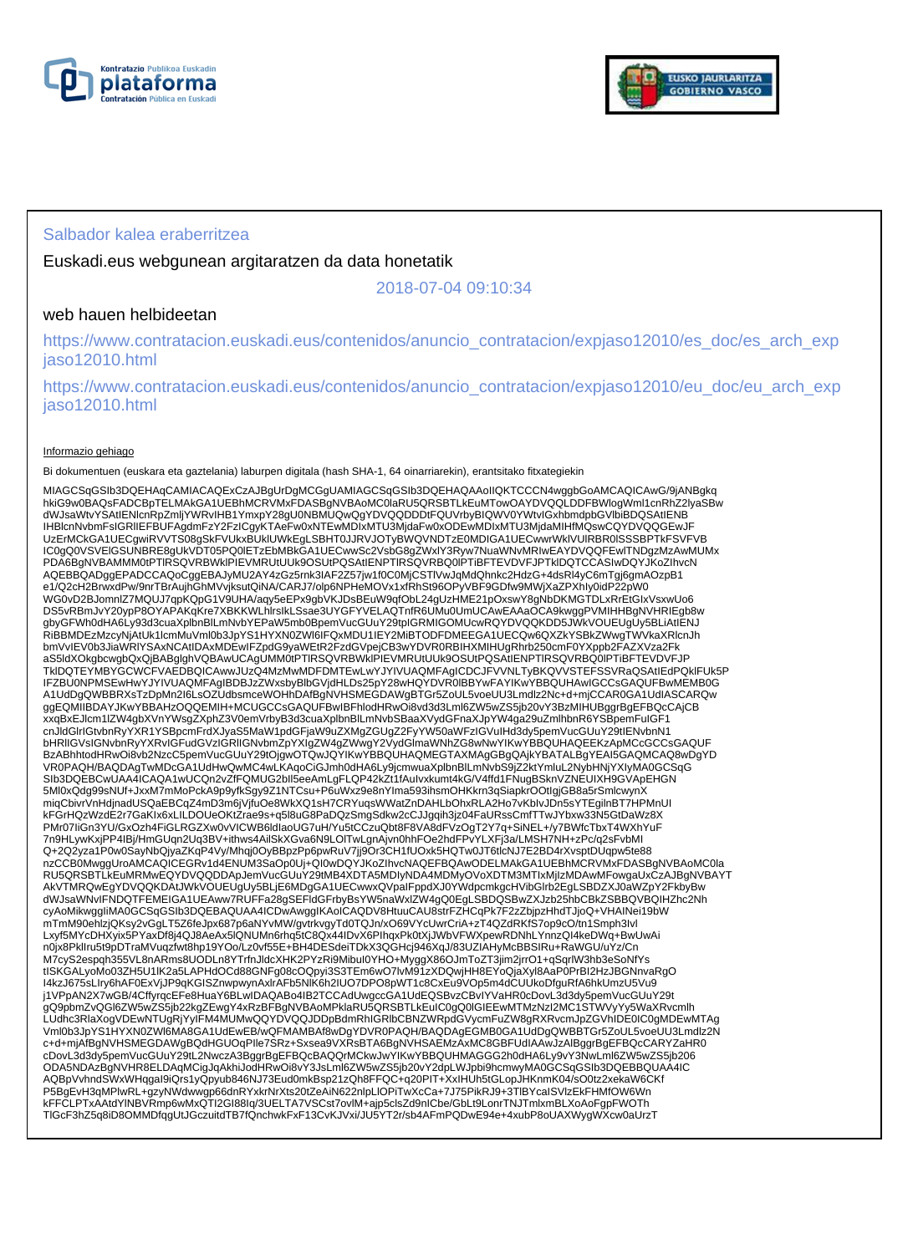



### Salbador kalea eraberritzea

Euskadi.eus webgunean argitaratzen da data honetatik

2018-07-04 09:10:34

## web hauen helbideetan

https://www.contratacion.euskadi.eus/contenidos/anuncio\_contratacion/expjaso12010/es\_doc/es\_arch\_exp jaso12010.html

https://www.contratacion.euskadi.eus/contenidos/anuncio\_contratacion/expjaso12010/eu\_doc/eu\_arch\_exp jaso12010.html

#### Informazio gehiago

Bi dokumentuen (euskara eta gaztelania) laburpen digitala (hash SHA-1, 64 oinarriarekin), erantsitako fitxategiekin

MIAGCSqGSIb3DQEHAqCAMIACAQExCzAJBgUrDgMCGgUAMIAGCSqGSIb3DQEHAQAAoIIQKTCCCN4wggbGoAMCAQICAwG/9jANBgkq hkiG9w0BAQsFADCBpTELMAkGA1UEBhMCRVMxFDASBgNVBAoMC0laRU5QRSBTLkEuMTowOAYDVQQLDDFBWlogWml1cnRhZ2lyaSBw dWJsaWtvYSAtIENlcnRpZmljYWRvIHB1YmxpY28gU0NBMUQwQgYDVQQDDDtFQUVrbyBIQWV0YWtvIGxhbmdpbGVlbiBDQSAtIENB IHBlcnNvbmFsIGRlIEFBUFAgdmFzY2FzICgyKTAeFw0xNTEwMDIxMTU3MjdaFw0xODEwMDIxMTU3MjdaMIHfMQswCQYDVQQGEwJF UzErMCkGA1UECgwiRVVTS08gSkFVUkxBUklUWkEgLSBHT0JJRVJOTyBWQVNDTzE0MDIGA1UECwwrWklVUlRBR0lSSSBPTkFSVFVB IC0gQ0VSVElGSUNBRE8gUkVDT05PQ0lETzEbMBkGA1UECwwSc2VsbG8gZWxlY3Ryw7NuaWNvMRIwEAYDVQQFEwlTNDgzMzAwMUMx PDA6BgNVBAMMM0tPTlRSQVRBWklPIEVMRUtUUk9OSUtPQSAtIENPTlRSQVRBQ0lPTiBFTEVDVFJPTklDQTCCASIwDQYJKoZIhvcN AQEBBQADggEPADCCAQoCggEBAJyMU2AY4zGz5rnk3IAF2Z57jw1f0C0MjCSTIVwJqMdQhnkc2HdzG+4dsRl4yC6mTgj6gmAOzpB1<br>e1/Q2cH2BrwxdPw/9nrTBrAujhGhMVvjksutQiNA/CARJ7/olp6NPHeMOVx1xfRhSt96OPyVBF9GDfw9MWjXaZPXhIy0idP22pW0<br>WG0vD2BJomnlZ7MQUJ7q DS5vRBmJvY20ypP8OYAPAKqKre7XBKKWLhlrsIkLSsae3UYGFYVELAQTnfR6UMu0UmUCAwEAAaOCA9kwggPVMIHHBgNVHRIEgb8w gbyGFWh0dHA6Ly93d3cuaXplbnBlLmNvbYEPaW5mb0BpemVucGUuY29tpIGRMIGOMUcwRQYDVQQKDD5JWkVOUEUgUy5BLiAtIENJ<br>RiBBMDEzMzcyNjAtUk1lcmMuVml0b3JpYS1HYXN0ZWI6IFQxMDU1IEY2MiBTODFDMEEGA1UECQw6QXZkYSBkZWwgTWVkaXRlcnJh bmVvIEV0b3JiaWRIYSAxNCAtIDAxMDEwIFZpdG9yaWEtR2FzdGVpejCB3wYDVR0RBIHXMIHUgRhrb250cmF0YXppb2FAZXVza2Fk<br>aS5ldXOkgbcwgbQxQjBABglghVQBAwUCAgUMM0tPTIRSQVRBWkIPIEVMRUtUUk9OSUtPQSAtIENPTIRSQVRBQ0IPTiBFTEVDVFJP TkIDQTEYMBYGCWCFVAEDBQICAwwJUzQ4MzMwMDFDMTEwLwYJYIVUAQMFAgICDCJFVVNLTyBKQVVSTEFSSVRaQSAtIEdPQkIFUk5P<br>IFZBU0NPMSEwHwYJYIVUAQMFAgIBDBJzZWxsbyBlbGVjdHLDs25pY28wHQYDVR0IBBYwFAYIKwYBBQUHAwIGCCsGAQUFBwMEMB0G<br>A1UdDgQWBBRXsTzDpMn2 ggEQMIIBDAYJKwYBBAHzOQQEMIH+MCUGCCsGAQUFBwIBFhlodHRwOi8vd3d3Lml6ZW5wZS5jb20vY3BzMIHUBggrBgEFBQcCAjCB xxqBxEJlcm1lZW4gbXVnYWsgZXphZ3V0emVrbyB3d3cuaXplbnBlLmNvbSBaaXVydGFnaXJpYW4ga29uZmlhbnR6YSBpemFuIGF1 cnJldGlrIGtvbnRyYXR1YSBpcmFrdXJyaS5MaW1pdGFjaW9uZXMgZGUgZ2FyYW50aWFzIGVuIHd3dy5pemVucGUuY29tIENvbnN1 bHRlIGVsIGNvbnRyYXRvIGFudGVzIGRlIGNvbmZpYXIgZW4gZWwgY2VydGlmaWNhZG8wNwYIKwYBBQUHAQEEKzApMCcGCCsGAQUF BzABhhtodHRwOi8vb2NzcC5pemVucGUuY29tOjgwOTQwJQYIKwYBBQUHAQMEGTAXMAgGBgQAjkYBATALBgYEAI5GAQMCAQ8wDgYD VR0PAQH/BAQDAgTwMDcGA1UdHwQwMC4wLKAqoCiGJmh0dHA6Ly9jcmwuaXplbnBlLmNvbS9jZ2ktYmluL2NybHNjYXIyMA0GCSqG<br>SIb3DQEBCwUAA4ICAQA1wUCQn2vZfFQMUG2bll5eeAmLgFLQP42kZt1fAuIvxkumt4kG/V4ffd1FNugBSknVZNEUIXH9GVApEHGN 5Ml0xQdg99sNUf+JxxM7mMoPckA9p9yfkSgy9Z1NTCsu+P6uWxz9e8nYIma593ihsmOHKkrn3qSiapkrOOtIgjGB8a5rSmlcwynX miqCbivrVnHdjnadUSQaEBCqZ4mD3m6jVjfuOe8WkXQ1sH7CRYuqsWWatZnDAHLbOhxRLA2Ho7vKbIvJDn5sYTEgilnBT7HPMnUI kFGrHQzWzdE2r7GaKIx6xLILDOUeOKtZrae9s+q5l8uG8PaDQzSmgSdkw2cCJJgqih3jz04FaURssCmfTTwJYbxw33N5GtDaWz8X PMr07IiGn3YU/GxOzh4FiGLRGZXw0vVICWB6ldIaoUG7uH/Yu5tCCzuQbt8F8VA8dFVzOgT2Y7q+SiNEL+/y7BWfcTbxT4WXhYuF 7n9HLywKxjPP4IBj/HmGUqn2Uq3BV+ithws4AilSkXGva6N9LOlTwLgnAjvn0hhFOe2hdFPvYLXFj3a/LMSH7NH+zPc/q2sFvbMI Q+2Q2yza1P0w0SayNbQjyaZKqP4Vy/Mhqj0OyBBpzPp6pwRuV7jj9Or3CH1fUOxk5HQTw0JT6tlcNJ7E2BD4rXvsptDUqpw5te88<br>nzCCB0MwggUroAMCAQICEGRv1d4ENUM3SaOp0Uj+QI0wDQYJKoZIhvcNAQEFBQAwODELMAkGA1UEBhMCRVMxFDASBgNVBAoMC0la<br>RU5QRSBTLkEuMRMwEQYD AkVTMRQwEgYDVQQKDAtJWkVOUEUgUy5BLjE6MDgGA1UECwwxQVpaIFppdXJ0YWdpcmkgcHVibGIrb2EgLSBDZXJ0aWZpY2FkbyBw<br>dWJsaWNvIFNDQTFEMEIGA1UEAww7RUFFa28gSEFIdGFrbyBsYW5naWxlZW4gQ0EgLSBDQSBwZXJzb25hbCBkZSBBQVBQIHZhc2Nh cyAoMikwggIiMA0GCSqGSIb3DQEBAQUAA4ICDwAwggIKAoICAQDV8HtuuCAU8strFZHCqPk7F2zZbjpzHhdTJjoQ+VHAINei19bW mTmM90ehlzjQKsy2vGgLT5Z6feJpx687p6aNYvMW/gvtrkvgyTd0TQJn/xO69VYcUwrCriA+zT4QZdRKfS7op9cO/tn1Smph3Ivl Lxyf5MYcDHXyix5PYaxDf8j4QJ8AeAx5lQNUMn6rhq5tC8Qx44IDvX6PIhqxPk0tXjJWbVFWXpewRDNhLYnnzQI4keDWq+BwUwAi n0jx8PklIru5t9pDTraMVuqzfwt8hp19YOo/Lz0vf55E+BH4DESdeiTDkX3QGHcj946XqJ/83UZIAHyMcBBSIRu+RaWGU/uYz/Cn M7cyS2espqh355VL8nARms8UODLn8YTrfnJldcXHK2PYzRi9MibuI0YHO+MyggX86OJmToZT3jim2jrrO1+qSqrlW3hb3eSoNfYs<br>tISKGALyoMo03ZH5U1IK2a5LAPHdOCd88GNFg08cOQpyi3S3TEm6wO7lvM91zXDQwjHH8EYoQjaXyI8AaP0PrBI2HzJBGNnvaRgO I4kzJ675sLIry6hAF0ExVjJP9qKGISZnwpwynAxlrAFb5NlK6h2IUO7DPO8pWT1c8CxEu9VOp5m4dCUUkoDfguRfA6hkUmzU5Vu9 j1VPpAN2X7wGB/4CffyrqcEFe8HuaY6BLwIDAQABo4IB2TCCAdUwgccGA1UdEQSBvzCBvIYVaHR0cDovL3d3dy5pemVucGUuY29t gQ9pbmZvQGl6ZW5wZS5jb22kgZEwgY4xRzBFBgNVBAoMPklaRU5QRSBTLkEuIC0gQ0IGIEEwMTMzNzI2MC1STWVyYy5WaXRvcmlh<br>LUdhc3RlaXogVDEwNTUgRjYyIFM4MUMwQQYDVQQJDDpBdmRhIGRlbCBNZWRpdGVycmFuZW8gRXRvcmJpZGVhIDE0IC0gMDEwMTAg Vml0b3JpYS1HYXN0ZWl6MA8GA1UdEwEB/wQFMAMBAf8wDgYDVR0PAQH/BAQDAgEGMB0GA1UdDgQWBBTGr5ZoUL5voeUU3Lmdlz2N c+d+mjAfBgNVHSMEGDAWgBQdHGUOqPIle7SRz+Sxsea9VXRsBTA6BgNVHSAEMzAxMC8GBFUdIAAwJzAlBggrBgEFBQcCARYZaHR0 cDovL3d3dy5pemVucGUuY29tL2NwczA3BggrBgEFBQcBAQQrMCkwJwYIKwYBBQUHMAGGG2h0dHA6Ly9vY3NwLml6ZW5wZS5jb206<br>ODA5NDAzBgNVHR8ELDAqMCigJqAkhiJodHRwOi8vY3JsLml6ZW5wZS5jb20vY2dpLWJpbi9hcmwyMA0GCSqGSIb3DQEBBQUAA4IC<br>AQBpVvhndSWxWHqgal9i P5BgEvH3qMPlwRL+gzyNWdwwgp66dnRYxkrNrXts20tZeAiN622nlpLlOPiTwXcCa+7J75PikRJ9+3TlBYcaISVlzEkFHMfOW6Wn kFFCLPTxAAtdYlNBVRmp6wMxQTI2GI88Iq/3UELTA7VSCst7ovlM+ajp5clsZd9nICbe/GbLt9LonrTNJTmlxmBLXoAoFgpFWOTh TlGcF3hZ5q8iD8OMMDfqgUtJGczuitdTB7fQnchwkFxF13CvKJVxi/JU5YT2r/sb4AFmPQDwE94e+4xubP8oUAXWygWXcw0aUrzT